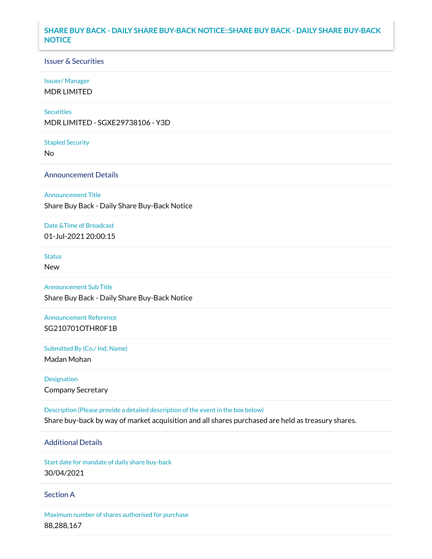# **SHARE BUY BACK - DAILY SHARE BUY-BACK NOTICE::SHARE BUY BACK - DAILY SHARE BUY-BACK NOTICE**

### Issuer & Securities

#### Issuer/ Manager

MDR LIMITED

#### **Securities**

MDR LIMITED - SGXE29738106 - Y3D

#### Stapled Security

No

# Announcement Details

Announcement Title

Share Buy Back - Daily Share Buy-Back Notice

# Date &Time of Broadcast 01-Jul-2021 20:00:15

### Status

New

Announcement Sub Title Share Buy Back - Daily Share Buy-Back Notice

Announcement Reference SG210701OTHR0F1B

Submitted By (Co./ Ind. Name)

Madan Mohan

Designation Company Secretary

Description (Please provide a detailed description of the event in the box below) Share buy-back by way of market acquisition and all shares purchased are held as treasury shares.

# Additional Details

Start date for mandate of daily share buy-back 30/04/2021

### Section A

Maximum number of shares authorised for purchase 88,288,167